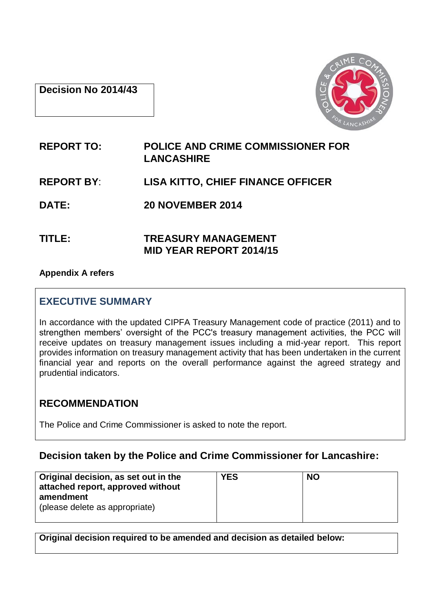## **Decision No 2014/43**



# **REPORT TO: POLICE AND CRIME COMMISSIONER FOR LANCASHIRE REPORT BY**: **LISA KITTO, CHIEF FINANCE OFFICER DATE: 20 NOVEMBER 2014**

**TITLE: TREASURY MANAGEMENT MID YEAR REPORT 2014/15**

## **Appendix A refers**

# **EXECUTIVE SUMMARY**

In accordance with the updated CIPFA Treasury Management code of practice (2011) and to strengthen members' oversight of the PCC's treasury management activities, the PCC will receive updates on treasury management issues including a mid-year report. This report provides information on treasury management activity that has been undertaken in the current financial year and reports on the overall performance against the agreed strategy and prudential indicators.

# **RECOMMENDATION**

The Police and Crime Commissioner is asked to note the report.

# **Decision taken by the Police and Crime Commissioner for Lancashire:**

| Original decision, as set out in the<br>attached report, approved without | <b>YES</b> | <b>NO</b> |
|---------------------------------------------------------------------------|------------|-----------|
| amendment<br>(please delete as appropriate)                               |            |           |

**Original decision required to be amended and decision as detailed below:**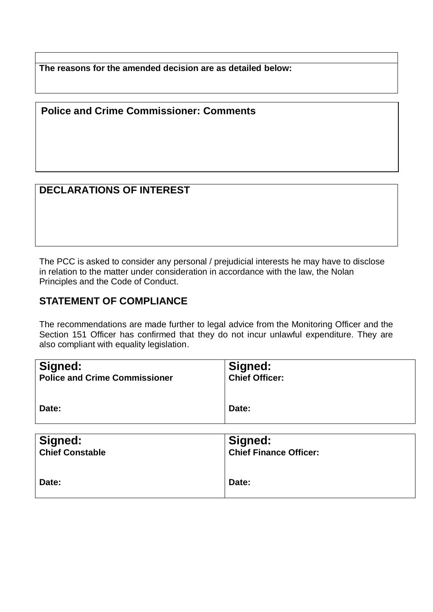**The reasons for the amended decision are as detailed below:**

## **Police and Crime Commissioner: Comments**

# **DECLARATIONS OF INTEREST**

The PCC is asked to consider any personal / prejudicial interests he may have to disclose in relation to the matter under consideration in accordance with the law, the Nolan Principles and the Code of Conduct.

## **STATEMENT OF COMPLIANCE**

The recommendations are made further to legal advice from the Monitoring Officer and the Section 151 Officer has confirmed that they do not incur unlawful expenditure. They are also compliant with equality legislation.

| Signed:<br><b>Police and Crime Commissioner</b> | Signed:<br><b>Chief Officer:</b> |
|-------------------------------------------------|----------------------------------|
| Date:                                           | Date:                            |
| Signed:                                         | Signed:                          |

| Signed:                | Signed:                       |
|------------------------|-------------------------------|
| <b>Chief Constable</b> | <b>Chief Finance Officer:</b> |
| Date:                  | Date:                         |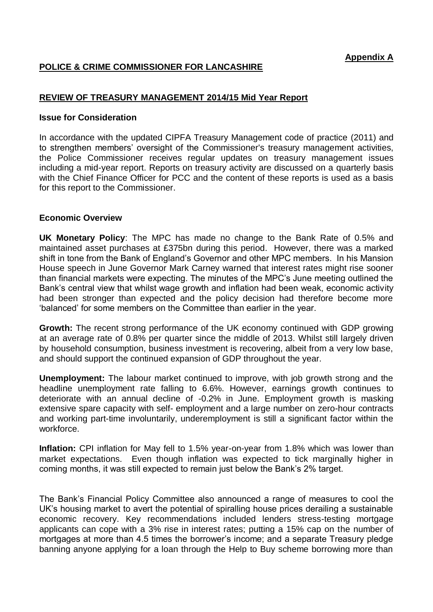## **POLICE & CRIME COMMISSIONER FOR LANCASHIRE**

## **REVIEW OF TREASURY MANAGEMENT 2014/15 Mid Year Report**

#### **Issue for Consideration**

In accordance with the updated CIPFA Treasury Management code of practice (2011) and to strengthen members' oversight of the Commissioner's treasury management activities, the Police Commissioner receives regular updates on treasury management issues including a mid-year report. Reports on treasury activity are discussed on a quarterly basis with the Chief Finance Officer for PCC and the content of these reports is used as a basis for this report to the Commissioner.

#### **Economic Overview**

**UK Monetary Policy**: The MPC has made no change to the Bank Rate of 0.5% and maintained asset purchases at £375bn during this period. However, there was a marked shift in tone from the Bank of England's Governor and other MPC members. In his Mansion House speech in June Governor Mark Carney warned that interest rates might rise sooner than financial markets were expecting. The minutes of the MPC's June meeting outlined the Bank's central view that whilst wage growth and inflation had been weak, economic activity had been stronger than expected and the policy decision had therefore become more 'balanced' for some members on the Committee than earlier in the year.

**Growth:** The recent strong performance of the UK economy continued with GDP growing at an average rate of 0.8% per quarter since the middle of 2013. Whilst still largely driven by household consumption, business investment is recovering, albeit from a very low base, and should support the continued expansion of GDP throughout the year.

**Unemployment:** The labour market continued to improve, with job growth strong and the headline unemployment rate falling to 6.6%. However, earnings growth continues to deteriorate with an annual decline of -0.2% in June. Employment growth is masking extensive spare capacity with self- employment and a large number on zero-hour contracts and working part-time involuntarily, underemployment is still a significant factor within the workforce.

**Inflation:** CPI inflation for May fell to 1.5% year-on-year from 1.8% which was lower than market expectations. Even though inflation was expected to tick marginally higher in coming months, it was still expected to remain just below the Bank's 2% target.

The Bank's Financial Policy Committee also announced a range of measures to cool the UK's housing market to avert the potential of spiralling house prices derailing a sustainable economic recovery. Key recommendations included lenders stress-testing mortgage applicants can cope with a 3% rise in interest rates; putting a 15% cap on the number of mortgages at more than 4.5 times the borrower's income; and a separate Treasury pledge banning anyone applying for a loan through the Help to Buy scheme borrowing more than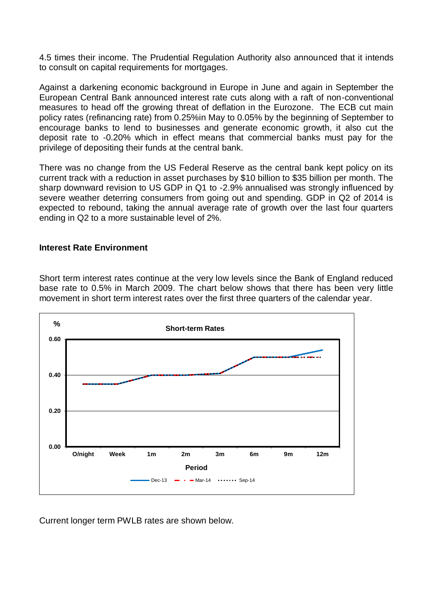4.5 times their income. The Prudential Regulation Authority also announced that it intends to consult on capital requirements for mortgages.

Against a darkening economic background in Europe in June and again in September the European Central Bank announced interest rate cuts along with a raft of non-conventional measures to head off the growing threat of deflation in the Eurozone. The ECB cut main policy rates (refinancing rate) from 0.25%in May to 0.05% by the beginning of September to encourage banks to lend to businesses and generate economic growth, it also cut the deposit rate to -0.20% which in effect means that commercial banks must pay for the privilege of depositing their funds at the central bank.

There was no change from the US Federal Reserve as the central bank kept policy on its current track with a reduction in asset purchases by \$10 billion to \$35 billion per month. The sharp downward revision to US GDP in Q1 to -2.9% annualised was strongly influenced by severe weather deterring consumers from going out and spending. GDP in Q2 of 2014 is expected to rebound, taking the annual average rate of growth over the last four quarters ending in Q2 to a more sustainable level of 2%.

## **Interest Rate Environment**

Short term interest rates continue at the very low levels since the Bank of England reduced base rate to 0.5% in March 2009. The chart below shows that there has been very little movement in short term interest rates over the first three quarters of the calendar year.



Current longer term PWLB rates are shown below.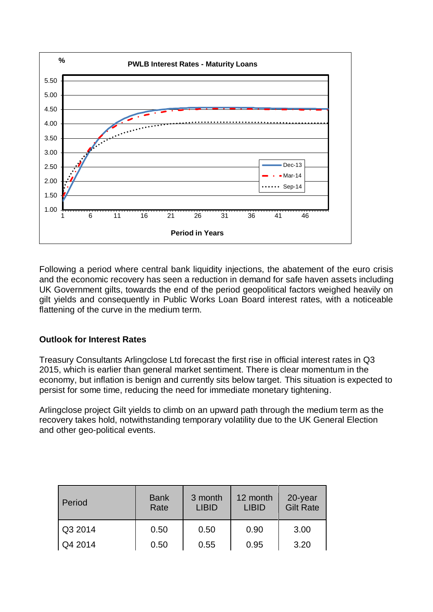

Following a period where central bank liquidity injections, the abatement of the euro crisis and the economic recovery has seen a reduction in demand for safe haven assets including UK Government gilts, towards the end of the period geopolitical factors weighed heavily on gilt yields and consequently in Public Works Loan Board interest rates, with a noticeable flattening of the curve in the medium term.

## **Outlook for Interest Rates**

Treasury Consultants Arlingclose Ltd forecast the first rise in official interest rates in Q3 2015, which is earlier than general market sentiment. There is clear momentum in the economy, but inflation is benign and currently sits below target. This situation is expected to persist for some time, reducing the need for immediate monetary tightening.

Arlingclose project Gilt yields to climb on an upward path through the medium term as the recovery takes hold, notwithstanding temporary volatility due to the UK General Election and other geo-political events.

| Period           | <b>Bank</b><br>Rate | 3 month<br><b>LIBID</b> | 12 month<br><b>LIBID</b> | 20-year<br><b>Gilt Rate</b> |
|------------------|---------------------|-------------------------|--------------------------|-----------------------------|
| Q3 2014          | 0.50                | 0.50                    | 0.90                     | 3.00                        |
| $\sqrt{Q4}$ 2014 | 0.50                | 0.55                    | 0.95                     | 3.20                        |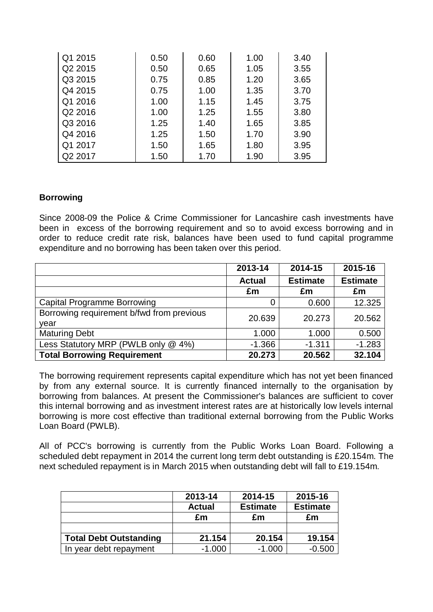| Q1 2015             | 0.50 | 0.60 | 1.00 | 3.40 |
|---------------------|------|------|------|------|
| Q2 2015             | 0.50 | 0.65 | 1.05 | 3.55 |
| Q3 2015             | 0.75 | 0.85 | 1.20 | 3.65 |
| Q4 2015             | 0.75 | 1.00 | 1.35 | 3.70 |
| Q1 2016             | 1.00 | 1.15 | 1.45 | 3.75 |
| Q2 2016             | 1.00 | 1.25 | 1.55 | 3.80 |
| Q3 2016             | 1.25 | 1.40 | 1.65 | 3.85 |
| Q4 2016             | 1.25 | 1.50 | 1.70 | 3.90 |
| Q1 2017             | 1.50 | 1.65 | 1.80 | 3.95 |
| Q <sub>2</sub> 2017 | 1.50 | 1.70 | 1.90 | 3.95 |

## **Borrowing**

Since 2008-09 the Police & Crime Commissioner for Lancashire cash investments have been in excess of the borrowing requirement and so to avoid excess borrowing and in order to reduce credit rate risk, balances have been used to fund capital programme expenditure and no borrowing has been taken over this period.

|                                           | 2013-14       | 2014-15         | 2015-16         |
|-------------------------------------------|---------------|-----------------|-----------------|
|                                           | <b>Actual</b> | <b>Estimate</b> | <b>Estimate</b> |
|                                           | £m            | £m              | £m              |
| <b>Capital Programme Borrowing</b>        | 0             | 0.600           | 12.325          |
| Borrowing requirement b/fwd from previous | 20.639        | 20.273          | 20.562          |
| vear                                      |               |                 |                 |
| <b>Maturing Debt</b>                      | 1.000         | 1.000           | 0.500           |
| Less Statutory MRP (PWLB only @ 4%)       | $-1.366$      | $-1.311$        | $-1.283$        |
| <b>Total Borrowing Requirement</b>        | 20.273        | 20.562          | 32.104          |

The borrowing requirement represents capital expenditure which has not yet been financed by from any external source. It is currently financed internally to the organisation by borrowing from balances. At present the Commissioner's balances are sufficient to cover this internal borrowing and as investment interest rates are at historically low levels internal borrowing is more cost effective than traditional external borrowing from the Public Works Loan Board (PWLB).

All of PCC's borrowing is currently from the Public Works Loan Board. Following a scheduled debt repayment in 2014 the current long term debt outstanding is £20.154m. The next scheduled repayment is in March 2015 when outstanding debt will fall to £19.154m.

|                               | 2013-14       | 2014-15         | 2015-16         |
|-------------------------------|---------------|-----------------|-----------------|
|                               | <b>Actual</b> | <b>Estimate</b> | <b>Estimate</b> |
|                               | £m            | £m              | £m              |
|                               |               |                 |                 |
| <b>Total Debt Outstanding</b> | 21.154        | 20.154          | 19.154          |
| In year debt repayment        | $-1.000$      | $-1.000$        | $-0.500$        |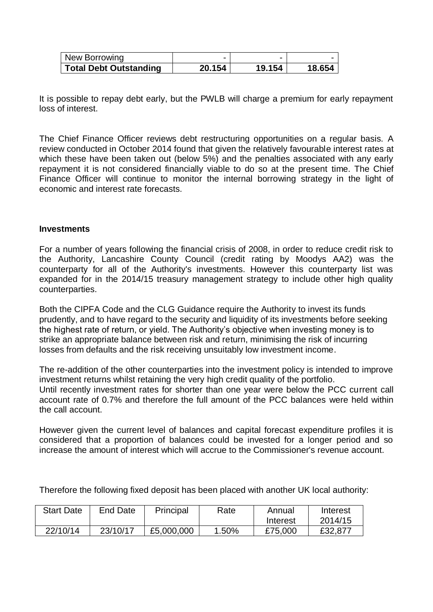| New Borrowing                 | $\overline{\phantom{0}}$ |        | $\overline{\phantom{0}}$ |
|-------------------------------|--------------------------|--------|--------------------------|
| <b>Total Debt Outstanding</b> | 20.154                   | 19.154 | 18.654                   |

It is possible to repay debt early, but the PWLB will charge a premium for early repayment loss of interest.

The Chief Finance Officer reviews debt restructuring opportunities on a regular basis. A review conducted in October 2014 found that given the relatively favourable interest rates at which these have been taken out (below 5%) and the penalties associated with any early repayment it is not considered financially viable to do so at the present time. The Chief Finance Officer will continue to monitor the internal borrowing strategy in the light of economic and interest rate forecasts.

#### **Investments**

For a number of years following the financial crisis of 2008, in order to reduce credit risk to the Authority, Lancashire County Council (credit rating by Moodys AA2) was the counterparty for all of the Authority's investments. However this counterparty list was expanded for in the 2014/15 treasury management strategy to include other high quality counterparties.

Both the CIPFA Code and the CLG Guidance require the Authority to invest its funds prudently, and to have regard to the security and liquidity of its investments before seeking the highest rate of return, or yield. The Authority's objective when investing money is to strike an appropriate balance between risk and return, minimising the risk of incurring losses from defaults and the risk receiving unsuitably low investment income.

The re-addition of the other counterparties into the investment policy is intended to improve investment returns whilst retaining the very high credit quality of the portfolio. Until recently investment rates for shorter than one year were below the PCC current call account rate of 0.7% and therefore the full amount of the PCC balances were held within the call account.

However given the current level of balances and capital forecast expenditure profiles it is considered that a proportion of balances could be invested for a longer period and so increase the amount of interest which will accrue to the Commissioner's revenue account.

| <b>Start Date</b> | End Date | Principal  | Rate  | Annual   | Interest |
|-------------------|----------|------------|-------|----------|----------|
|                   |          |            |       | Interest | 2014/15  |
| 22/10/14          | 23/10/17 | £5,000,000 | 1.50% | £75,000  | £32,877  |

Therefore the following fixed deposit has been placed with another UK local authority: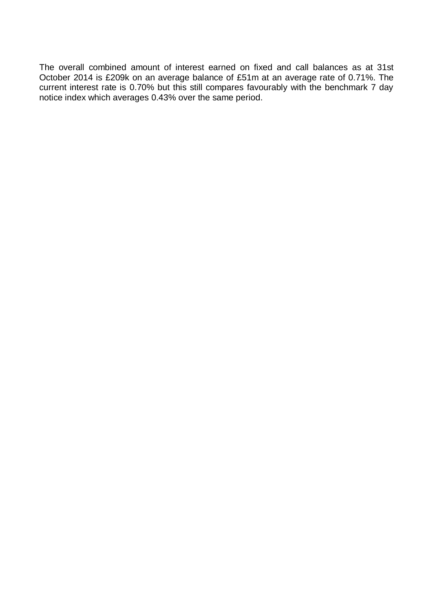The overall combined amount of interest earned on fixed and call balances as at 31st October 2014 is £209k on an average balance of £51m at an average rate of 0.71%. The current interest rate is 0.70% but this still compares favourably with the benchmark 7 day notice index which averages 0.43% over the same period.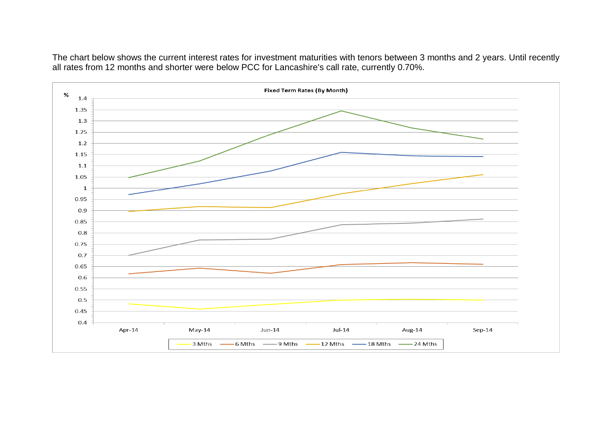The chart below shows the current interest rates for investment maturities with tenors between 3 months and 2 years. Until recently all rates from 12 months and shorter were below PCC for Lancashire's call rate, currently 0.70%.

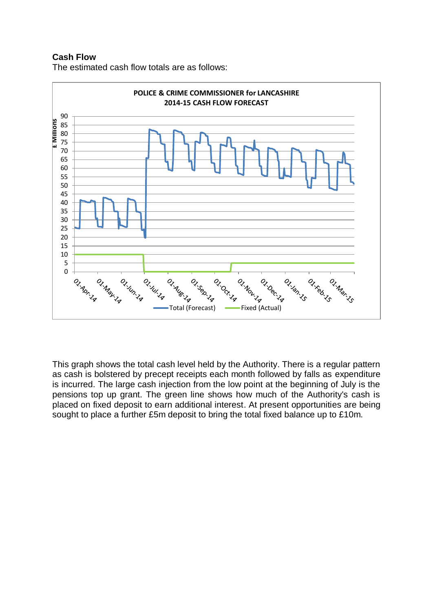## **Cash Flow**





This graph shows the total cash level held by the Authority. There is a regular pattern as cash is bolstered by precept receipts each month followed by falls as expenditure is incurred. The large cash injection from the low point at the beginning of July is the pensions top up grant. The green line shows how much of the Authority's cash is placed on fixed deposit to earn additional interest. At present opportunities are being sought to place a further £5m deposit to bring the total fixed balance up to £10m.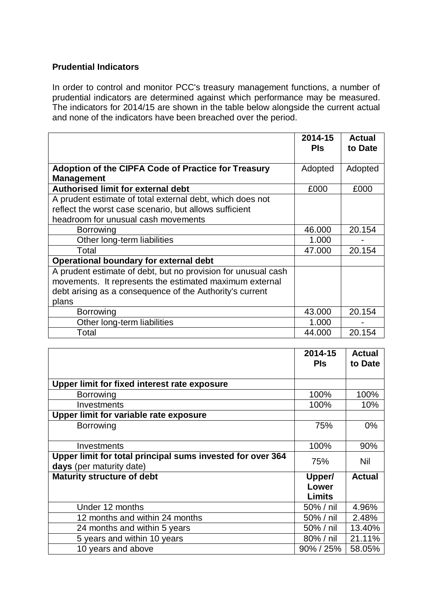## **Prudential Indicators**

In order to control and monitor PCC's treasury management functions, a number of prudential indicators are determined against which performance may be measured. The indicators for 2014/15 are shown in the table below alongside the current actual and none of the indicators have been breached over the period.

|                                                                                 | 2014-15    | <b>Actual</b> |
|---------------------------------------------------------------------------------|------------|---------------|
|                                                                                 | <b>PIs</b> | to Date       |
| <b>Adoption of the CIPFA Code of Practice for Treasury</b><br><b>Management</b> | Adopted    | Adopted       |
| <b>Authorised limit for external debt</b>                                       | £000       | £000          |
| A prudent estimate of total external debt, which does not                       |            |               |
| reflect the worst case scenario, but allows sufficient                          |            |               |
| headroom for unusual cash movements                                             |            |               |
| Borrowing                                                                       | 46.000     | 20.154        |
| Other long-term liabilities                                                     | 1.000      |               |
| Total                                                                           | 47.000     | 20.154        |
| <b>Operational boundary for external debt</b>                                   |            |               |
| A prudent estimate of debt, but no provision for unusual cash                   |            |               |
| movements. It represents the estimated maximum external                         |            |               |
| debt arising as a consequence of the Authority's current                        |            |               |
| plans                                                                           |            |               |
| Borrowing                                                                       | 43.000     | 20.154        |
| Other long-term liabilities                                                     | 1.000      |               |
| Total                                                                           | 44.000     | 20.154        |

|                                                            | 2014-15<br><b>PIs</b> | <b>Actual</b> |
|------------------------------------------------------------|-----------------------|---------------|
|                                                            |                       | to Date       |
| Upper limit for fixed interest rate exposure               |                       |               |
| <b>Borrowing</b>                                           | 100%                  | 100%          |
| Investments                                                | 100%                  | 10%           |
| Upper limit for variable rate exposure                     |                       |               |
| <b>Borrowing</b>                                           | 75%                   | $0\%$         |
|                                                            |                       |               |
| Investments                                                | 100%                  | 90%           |
| Upper limit for total principal sums invested for over 364 | 75%                   | Nil           |
| days (per maturity date)                                   |                       |               |
| <b>Maturity structure of debt</b>                          | Upper/                | <b>Actual</b> |
|                                                            | Lower                 |               |
|                                                            | Limits                |               |
| Under 12 months                                            | 50% / nil             | 4.96%         |
| 12 months and within 24 months                             | 50% / nil             | 2.48%         |
| 24 months and within 5 years                               | 50% / nil             | 13.40%        |
| 5 years and within 10 years                                | 80% / nil             | 21.11%        |
| 10 years and above                                         | $90\%$ / 25%          | 58.05%        |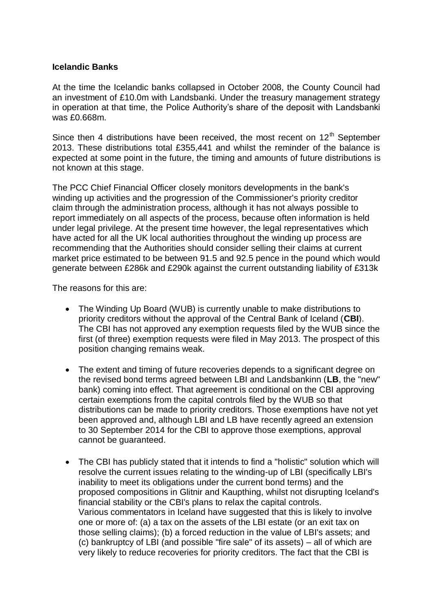## **Icelandic Banks**

At the time the Icelandic banks collapsed in October 2008, the County Council had an investment of £10.0m with Landsbanki. Under the treasury management strategy in operation at that time, the Police Authority's share of the deposit with Landsbanki was £0.668m.

Since then 4 distributions have been received, the most recent on  $12<sup>th</sup>$  September 2013. These distributions total £355,441 and whilst the reminder of the balance is expected at some point in the future, the timing and amounts of future distributions is not known at this stage.

The PCC Chief Financial Officer closely monitors developments in the bank's winding up activities and the progression of the Commissioner's priority creditor claim through the administration process, although it has not always possible to report immediately on all aspects of the process, because often information is held under legal privilege. At the present time however, the legal representatives which have acted for all the UK local authorities throughout the winding up process are recommending that the Authorities should consider selling their claims at current market price estimated to be between 91.5 and 92.5 pence in the pound which would generate between £286k and £290k against the current outstanding liability of £313k

The reasons for this are:

- The Winding Up Board (WUB) is currently unable to make distributions to priority creditors without the approval of the Central Bank of Iceland (**CBI**). The CBI has not approved any exemption requests filed by the WUB since the first (of three) exemption requests were filed in May 2013. The prospect of this position changing remains weak.
- The extent and timing of future recoveries depends to a significant degree on the revised bond terms agreed between LBI and Landsbankinn (**LB**, the "new" bank) coming into effect. That agreement is conditional on the CBI approving certain exemptions from the capital controls filed by the WUB so that distributions can be made to priority creditors. Those exemptions have not yet been approved and, although LBI and LB have recently agreed an extension to 30 September 2014 for the CBI to approve those exemptions, approval cannot be guaranteed.
- The CBI has publicly stated that it intends to find a "holistic" solution which will resolve the current issues relating to the winding-up of LBI (specifically LBI's inability to meet its obligations under the current bond terms) and the proposed compositions in Glitnir and Kaupthing, whilst not disrupting Iceland's financial stability or the CBI's plans to relax the capital controls. Various commentators in Iceland have suggested that this is likely to involve one or more of: (a) a tax on the assets of the LBI estate (or an exit tax on those selling claims); (b) a forced reduction in the value of LBI's assets; and (c) bankruptcy of LBI (and possible "fire sale" of its assets) – all of which are very likely to reduce recoveries for priority creditors. The fact that the CBI is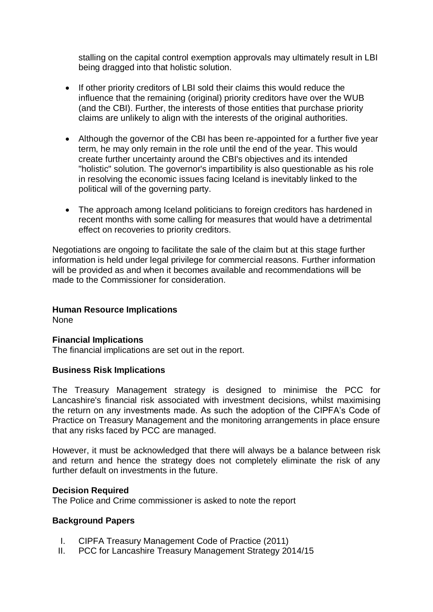stalling on the capital control exemption approvals may ultimately result in LBI being dragged into that holistic solution.

- If other priority creditors of LBI sold their claims this would reduce the influence that the remaining (original) priority creditors have over the WUB (and the CBI). Further, the interests of those entities that purchase priority claims are unlikely to align with the interests of the original authorities.
- Although the governor of the CBI has been re-appointed for a further five year term, he may only remain in the role until the end of the year. This would create further uncertainty around the CBI's objectives and its intended "holistic" solution. The governor's impartibility is also questionable as his role in resolving the economic issues facing Iceland is inevitably linked to the political will of the governing party.
- The approach among Iceland politicians to foreign creditors has hardened in recent months with some calling for measures that would have a detrimental effect on recoveries to priority creditors.

Negotiations are ongoing to facilitate the sale of the claim but at this stage further information is held under legal privilege for commercial reasons. Further information will be provided as and when it becomes available and recommendations will be made to the Commissioner for consideration.

## **Human Resource Implications**

None

## **Financial Implications**

The financial implications are set out in the report.

#### **Business Risk Implications**

The Treasury Management strategy is designed to minimise the PCC for Lancashire's financial risk associated with investment decisions, whilst maximising the return on any investments made. As such the adoption of the CIPFA's Code of Practice on Treasury Management and the monitoring arrangements in place ensure that any risks faced by PCC are managed.

However, it must be acknowledged that there will always be a balance between risk and return and hence the strategy does not completely eliminate the risk of any further default on investments in the future.

#### **Decision Required**

The Police and Crime commissioner is asked to note the report

#### **Background Papers**

- I. CIPFA Treasury Management Code of Practice (2011)
- II. PCC for Lancashire Treasury Management Strategy 2014/15